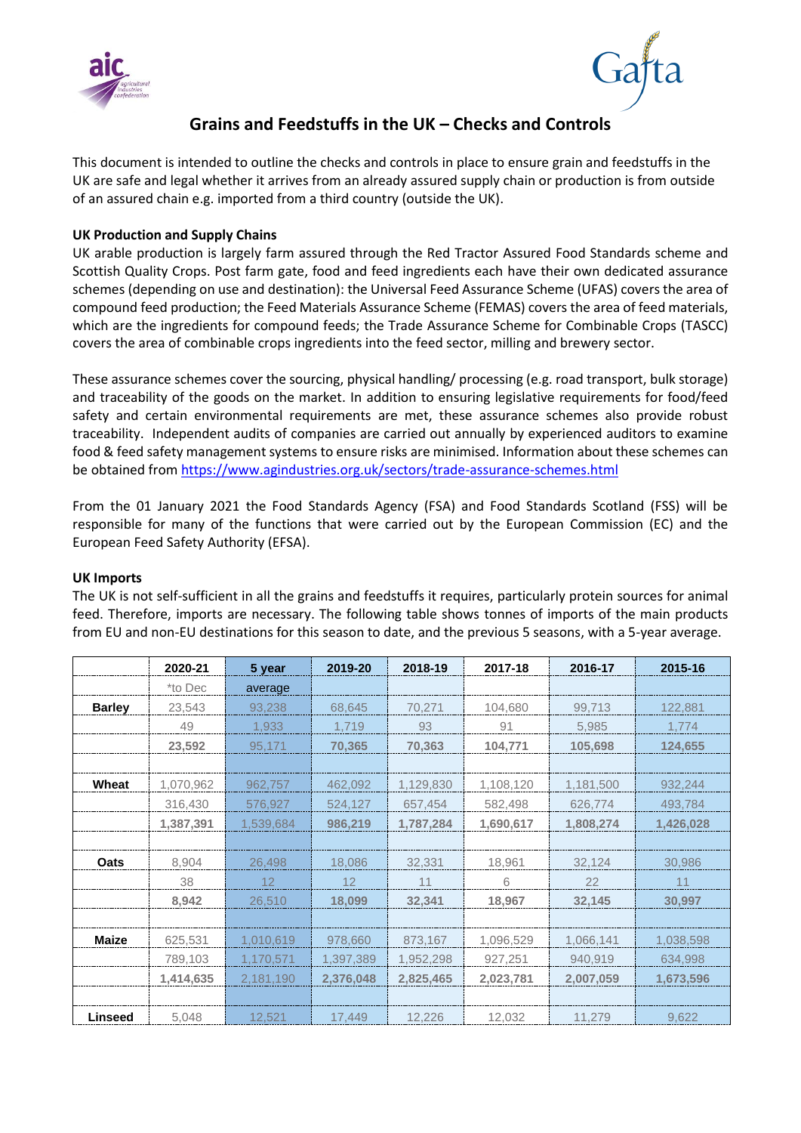



# **Grains and Feedstuffs in the UK – Checks and Controls**

This document is intended to outline the checks and controls in place to ensure grain and feedstuffs in the UK are safe and legal whether it arrives from an already assured supply chain or production is from outside of an assured chain e.g. imported from a third country (outside the UK).

# **UK Production and Supply Chains**

UK arable production is largely farm assured through the Red Tractor Assured Food Standards scheme and Scottish Quality Crops. Post farm gate, food and feed ingredients each have their own dedicated assurance schemes (depending on use and destination): th[e Universal Feed Assurance Scheme](https://www.agindustries.org.uk/sectors/trade-assurance-schemes/ufas-universal-feed-assurance-scheme.html) (UFAS) covers the area of compound feed production; th[e Feed Materials Assurance Scheme](https://www.agindustries.org.uk/sectors/trade-assurance-schemes/femas-feed-materials-assurance-scheme.html) (FEMAS) covers the area of feed materials, which are the ingredients for compound feeds; the [Trade Assurance Scheme for Combinable Crops](https://www.agindustries.org.uk/sectors/trade-assurance-schemes/tascc-trade-assurance-scheme-for-combinable-crops.html) (TASCC) covers the area of combinable crops ingredients into the feed sector, milling and brewery sector.

These assurance schemes cover the sourcing, physical handling/ processing (e.g. road transport, bulk storage) and traceability of the goods on the market. In addition to ensuring legislative requirements for food/feed safety and certain environmental requirements are met, these assurance schemes also provide robust traceability. Independent audits of companies are carried out annually by experienced auditors to examine food & feed safety management systems to ensure risks are minimised. Information about these schemes can be obtained from <https://www.agindustries.org.uk/sectors/trade-assurance-schemes.html>

From the 01 January 2021 the Food Standards Agency (FSA) and Food Standards Scotland (FSS) will be responsible for many of the functions that were carried out by the European Commission (EC) and the European Feed Safety Authority (EFSA).

## **UK Imports**

The UK is not self-sufficient in all the grains and feedstuffs it requires, particularly protein sources for animal feed. Therefore, imports are necessary. The following table shows tonnes of imports of the main products from EU and non-EU destinations for this season to date, and the previous 5 seasons, with a 5-year average.

|                | 2020-21   | 5 year    | 2019-20   | 2018-19   | 2017-18   | 2016-17   | 2015-16   |
|----------------|-----------|-----------|-----------|-----------|-----------|-----------|-----------|
|                | *to Dec   | average   |           |           |           |           |           |
| <b>Barley</b>  | 23,543    | 93,238    | 68,645    | 70,271    | 104,680   | 99,713    | 122,881   |
|                | 49        | 1,933     | 1.719     | 93        | 91        | 5,985     | 1,774     |
|                | 23,592    | 95,171    | 70,365    | 70,363    | 104,771   | 105,698   | 124,655   |
|                |           |           |           |           |           |           |           |
| Wheat          | 1,070,962 | 962,757   | 462.092   | 1,129,830 | 1,108,120 | 1,181,500 | 932,244   |
|                | 316,430   | 576,927   | 524,127   | 657,454   | 582,498   | 626,774   | 493,784   |
|                | 1,387,391 | 1,539,684 | 986,219   | 1,787,284 | 1,690,617 | 1,808,274 | 1,426,028 |
|                |           |           |           |           |           |           |           |
| Oats           | 8,904     | 26,498    | 18,086    | 32,331    | 18,961    | 32,124    | 30,986    |
|                | 38        | 12        | 12        | 11        | 6         | 22        | 11        |
|                | 8,942     | 26,510    | 18,099    | 32,341    | 18,967    | 32,145    | 30,997    |
|                |           |           |           |           |           |           |           |
| Maize          | 625,531   | 1,010,619 | 978,660   | 873,167   | 1,096,529 | 1,066,141 | 1,038,598 |
|                | 789,103   | 1,170,571 | 1,397,389 | 1,952,298 | 927,251   | 940.919   | 634,998   |
|                | 1,414,635 | 2,181,190 | 2,376,048 | 2,825,465 | 2,023,781 | 2,007,059 | 1,673,596 |
|                |           |           |           |           |           |           |           |
| <b>Linseed</b> | 5,048     | 12,521    | 17.449    | 12,226    | 12,032    | 11,279    | 9.622     |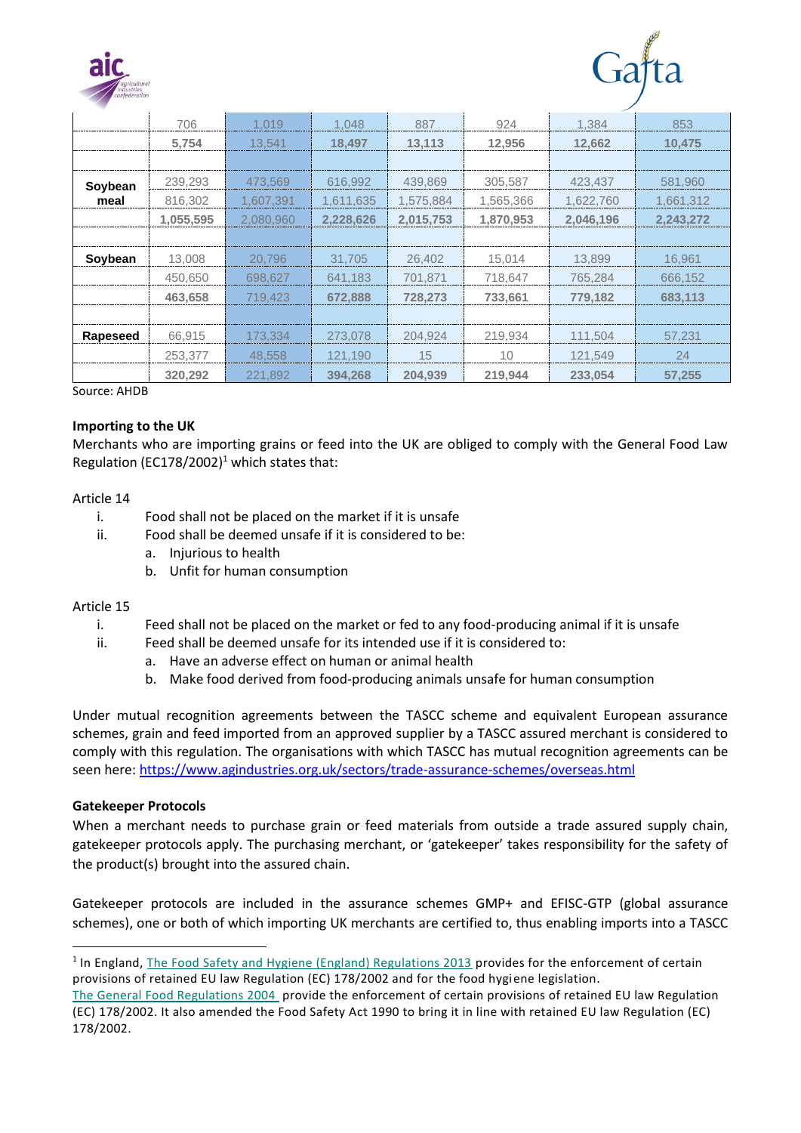



|          | 706       | 1.019     | 1.048     | 887       | 924       | 1.384     | 853       |  |  |
|----------|-----------|-----------|-----------|-----------|-----------|-----------|-----------|--|--|
|          | 5,754     | 13,541    | 18,497    | 13,113    | 12.956    | 12,662    | 10,475    |  |  |
|          |           |           |           |           |           |           |           |  |  |
| Soybean  | 239,293   | 473,569   | 616,992   | 439.869   | 305.587   | 423,437   | 581,960   |  |  |
| meal     | 816,302   | 1,607,391 | 1,611,635 | 1,575,884 | 1,565,366 | 1,622,760 | 1,661,312 |  |  |
|          | 1,055,595 | 2,080,960 | 2,228,626 | 2,015,753 | 1,870,953 | 2,046,196 | 2,243,272 |  |  |
|          |           |           |           |           |           |           |           |  |  |
| Soybean  | 13,008    | 20,796    | 31.705    | 26,402    | 15,014    | 13,899    | 16,961    |  |  |
|          | 450,650   | 698,627   | 641.183   | 701.871   | 718.647   | 765.284   | 666.152   |  |  |
|          | 463,658   | 719,423   | 672.888   | 728,273   | 733.661   | 779,182   | 683,113   |  |  |
|          |           |           |           |           |           |           |           |  |  |
| Rapeseed | 66.915    | 173.334   | 273.078   | 204.924   | 219.934   | 111.504   | 57.231    |  |  |
|          | 253.377   | 48.558    | 121.190   | 15        | 10        | 121,549   | 24        |  |  |
|          | 320,292   | 221,892   | 394.268   | 204,939   | 219,944   | 233,054   | 57,255    |  |  |
|          |           |           |           |           |           |           |           |  |  |

Source: AHDB

## **Importing to the UK**

Merchants who are importing grains or feed into the UK are obliged to comply with the General Food Law Regulation (EC178/2002)<sup>1</sup> which states that:

#### Article 14

- i. Food shall not be placed on the market if it is unsafe
- ii. Food shall be deemed unsafe if it is considered to be:
	- a. Injurious to health
	- b. Unfit for human consumption

## Article 15

- i. Feed shall not be placed on the market or fed to any food-producing animal if it is unsafe
- ii. Feed shall be deemed unsafe for its intended use if it is considered to:
	- a. Have an adverse effect on human or animal health
	- b. Make food derived from food-producing animals unsafe for human consumption

Under mutual recognition agreements between the TASCC scheme and equivalent European assurance schemes, grain and feed imported from an approved supplier by a TASCC assured merchant is considered to comply with this regulation. The organisations with which TASCC has mutual recognition agreements can be seen here: <https://www.agindustries.org.uk/sectors/trade-assurance-schemes/overseas.html>

## **Gatekeeper Protocols**

When a merchant needs to purchase grain or feed materials from outside a trade assured supply chain, gatekeeper protocols apply. The purchasing merchant, or 'gatekeeper' takes responsibility for the safety of the product(s) brought into the assured chain.

Gatekeeper protocols are included in the assurance schemes GMP+ and EFISC-GTP (global assurance schemes), one or both of which importing UK merchants are certified to, thus enabling imports into a TASCC

<sup>&</sup>lt;sup>1</sup> In England, [The Food Safety and Hygiene \(England\) Regulations 2013](http://www.legislation.gov.uk/uksi/2013/2996/contents/made) provides for the enforcement of certain provisions of retained EU law Regulation (EC) 178/2002 and for the food hygiene legislation.

[The General Food Regulations 2004](http://www.legislation.gov.uk/uksi/2004/3279/made) provide the enforcement of certain provisions of retained EU law Regulation (EC) 178/2002. It also amended the Food Safety Act 1990 to bring it in line with retained EU law Regulation (EC) 178/2002.